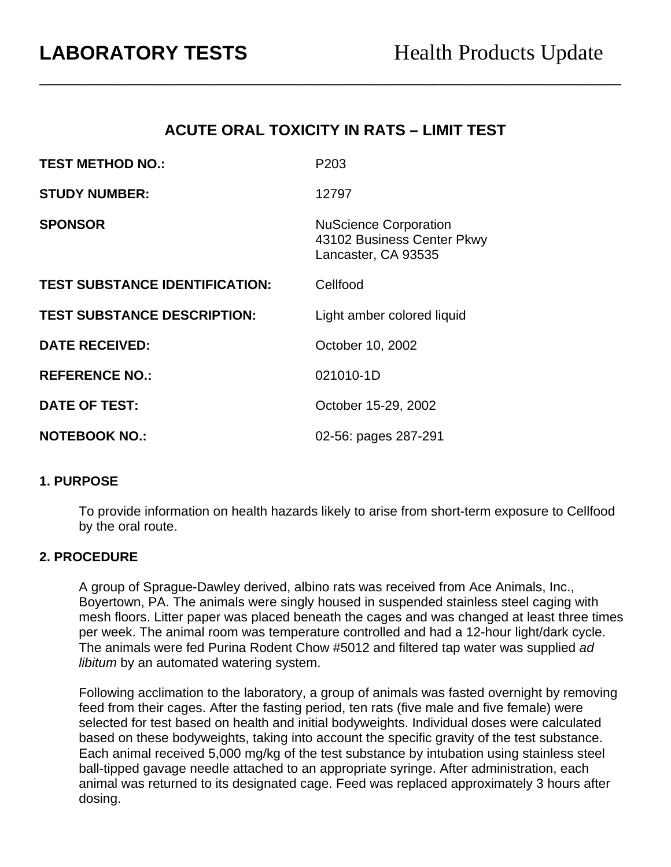# **ACUTE ORAL TOXICITY IN RATS – LIMIT TEST**

\_\_\_\_\_\_\_\_\_\_\_\_\_\_\_\_\_\_\_\_\_\_\_\_\_\_\_\_\_\_\_\_\_\_\_\_\_\_\_\_\_\_\_\_\_\_\_\_\_\_\_\_\_\_\_\_\_\_\_

| <b>TEST METHOD NO.:</b>               | P <sub>203</sub>                                                                  |
|---------------------------------------|-----------------------------------------------------------------------------------|
| <b>STUDY NUMBER:</b>                  | 12797                                                                             |
| <b>SPONSOR</b>                        | <b>NuScience Corporation</b><br>43102 Business Center Pkwy<br>Lancaster, CA 93535 |
| <b>TEST SUBSTANCE IDENTIFICATION:</b> | Cellfood                                                                          |
| <b>TEST SUBSTANCE DESCRIPTION:</b>    | Light amber colored liquid                                                        |
| <b>DATE RECEIVED:</b>                 | October 10, 2002                                                                  |
| <b>REFERENCE NO.:</b>                 | 021010-1D                                                                         |
| <b>DATE OF TEST:</b>                  | October 15-29, 2002                                                               |
| <b>NOTEBOOK NO.:</b>                  | 02-56: pages 287-291                                                              |

#### **1. PURPOSE**

To provide information on health hazards likely to arise from short-term exposure to Cellfood by the oral route.

#### **2. PROCEDURE**

A group of Sprague-Dawley derived, albino rats was received from Ace Animals, Inc., Boyertown, PA. The animals were singly housed in suspended stainless steel caging with mesh floors. Litter paper was placed beneath the cages and was changed at least three times per week. The animal room was temperature controlled and had a 12-hour light/dark cycle. The animals were fed Purina Rodent Chow #5012 and filtered tap water was supplied *ad libitum* by an automated watering system.

Following acclimation to the laboratory, a group of animals was fasted overnight by removing feed from their cages. After the fasting period, ten rats (five male and five female) were selected for test based on health and initial bodyweights. Individual doses were calculated based on these bodyweights, taking into account the specific gravity of the test substance. Each animal received 5,000 mg/kg of the test substance by intubation using stainless steel ball-tipped gavage needle attached to an appropriate syringe. After administration, each animal was returned to its designated cage. Feed was replaced approximately 3 hours after dosing.